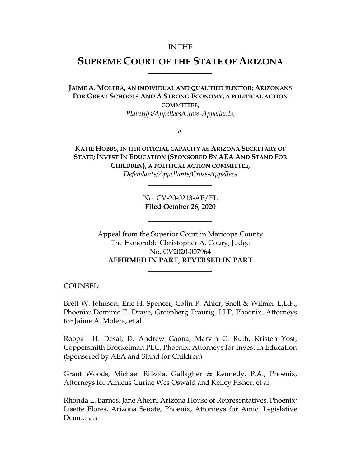#### IN THE

# **SUPREME COURT OF THE STATE OF ARIZONA**

**JAIME A. MOLERA, AN INDIVIDUAL AND QUALIFIED ELECTOR; ARIZONANS FOR GREAT SCHOOLS AND A STRONG ECONOMY, A POLITICAL ACTION COMMITTEE,**

*Plaintiffs/Appellees/Cross-Appellants*,

*v*.

**KATIE HOBBS, IN HER OFFICIAL CAPACITY AS ARIZONA SECRETARY OF STATE; INVEST IN EDUCATION (SPONSORED BY AEA AND STAND FOR CHILDREN), A POLITICAL ACTION COMMITTEE,** *Defendants/Appellants/Cross-Appellees*

> No. CV-20-0213-AP/EL **Filed October 26, 2020**

Appeal from the Superior Court in Maricopa County The Honorable Christopher A. Coury, Judge No. CV2020-007964 **AFFIRMED IN PART, REVERSED IN PART**

COUNSEL:

Brett W. Johnson, Eric H. Spencer, Colin P. Ahler, Snell & Wilmer L.L.P., Phoenix; Dominic E. Draye, Greenberg Traurig, LLP, Phoenix, Attorneys for Jaime A. Molera, et al.

Roopali H. Desai, D. Andrew Gaona, Marvin C. Ruth, Kristen Yost, Coppersmith Brockelman PLC, Phoenix, Attorneys for Invest in Education (Sponsored by AEA and Stand for Children)

Grant Woods, Michael Riikola, Gallagher & Kennedy, P.A., Phoenix, Attorneys for Amicus Curiae Wes Oswald and Kelley Fisher, et al.

Rhonda L. Barnes, Jane Ahern, Arizona House of Representatives, Phoenix; Lisette Flores, Arizona Senate, Phoenix, Attorneys for Amici Legislative **Democrats**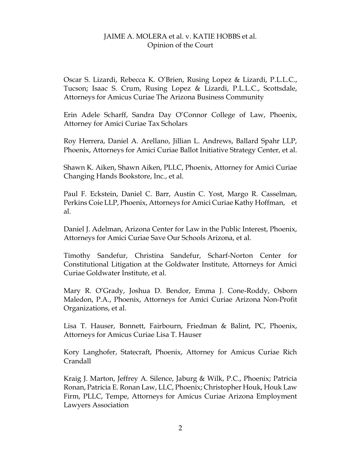Oscar S. Lizardi, Rebecca K. O'Brien, Rusing Lopez & Lizardi, P.L.L.C., Tucson; Isaac S. Crum, Rusing Lopez & Lizardi, P.L.L.C., Scottsdale, Attorneys for Amicus Curiae The Arizona Business Community

Erin Adele Scharff, Sandra Day O'Connor College of Law, Phoenix, Attorney for Amici Curiae Tax Scholars

Roy Herrera, Daniel A. Arellano, Jillian L. Andrews, Ballard Spahr LLP, Phoenix, Attorneys for Amici Curiae Ballot Initiative Strategy Center, et al.

Shawn K. Aiken, Shawn Aiken, PLLC, Phoenix, Attorney for Amici Curiae Changing Hands Bookstore, Inc., et al.

Paul F. Eckstein, Daniel C. Barr, Austin C. Yost, Margo R. Casselman, Perkins Coie LLP, Phoenix, Attorneys for Amici Curiae Kathy Hoffman, et al.

Daniel J. Adelman, Arizona Center for Law in the Public Interest, Phoenix, Attorneys for Amici Curiae Save Our Schools Arizona, et al.

Timothy Sandefur, Christina Sandefur, Scharf-Norton Center for Constitutional Litigation at the Goldwater Institute, Attorneys for Amici Curiae Goldwater Institute, et al.

Mary R. O'Grady, Joshua D. Bendor, Emma J. Cone-Roddy, Osborn Maledon, P.A., Phoenix, Attorneys for Amici Curiae Arizona Non-Profit Organizations, et al.

Lisa T. Hauser, Bonnett, Fairbourn, Friedman & Balint, PC, Phoenix, Attorneys for Amicus Curiae Lisa T. Hauser

Kory Langhofer, Statecraft, Phoenix, Attorney for Amicus Curiae Rich Crandall

Kraig J. Marton, Jeffrey A. Silence, Jaburg & Wilk, P.C., Phoenix; Patricia Ronan, Patricia E. Ronan Law, LLC, Phoenix; Christopher Houk, Houk Law Firm, PLLC, Tempe, Attorneys for Amicus Curiae Arizona Employment Lawyers Association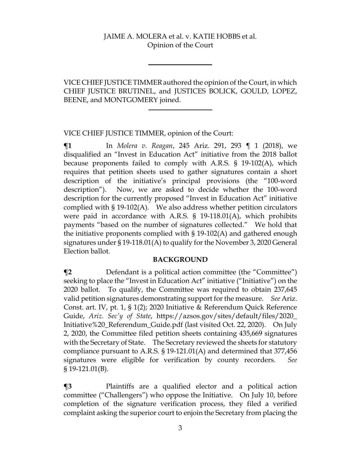VICE CHIEF JUSTICETIMMERauthored the opinion of the Court, in which CHIEF JUSTICE BRUTINEL, and JUSTICES BOLICK, GOULD, LOPEZ, BEENE, and MONTGOMERY joined.

VICE CHIEF JUSTICE TIMMER, opinion of the Court:

**¶1** In *Molera v. Reagan*, 245 Ariz. 291, 293 ¶ 1 (2018), we disqualified an "Invest in Education Act" initiative from the 2018 ballot because proponents failed to comply with A.R.S. § 19-102(A), which requires that petition sheets used to gather signatures contain a short description of the initiative's principal provisions (the "100-word description"). Now, we are asked to decide whether the 100-word description for the currently proposed "Invest in Education Act" initiative complied with § 19-102(A). We also address whether petition circulators were paid in accordance with A.R.S. § 19-118.01(A), which prohibits payments "based on the number of signatures collected." We hold that the initiative proponents complied with § 19-102(A) and gathered enough signatures under § 19-118.01(A) to qualify for the November 3, 2020 General Election ballot.

#### **BACKGROUND**

**¶2** Defendant is a political action committee (the "Committee") seeking to place the "Invest in Education Act" initiative ("Initiative") on the 2020 ballot. To qualify, the Committee was required to obtain 237,645 valid petition signatures demonstrating support for the measure. *See* Ariz. Const. art. IV, pt. 1, § 1(2); 2020 Initiative & Referendum Quick Reference Guide, *Ariz. Sec'y of State*, https://azsos.gov/sites/default/files/2020\_ Initiative%20\_Referendum\_Guide.pdf (last visited Oct. 22, 2020). On July 2, 2020, the Committee filed petition sheets containing 435,669 signatures with the Secretary of State. The Secretary reviewed the sheets for statutory compliance pursuant to A.R.S. § 19-121.01(A) and determined that 377,456 signatures were eligible for verification by county recorders. *See*  § 19-121.01(B).

**¶3** Plaintiffs are a qualified elector and a political action committee ("Challengers") who oppose the Initiative. On July 10, before completion of the signature verification process, they filed a verified complaint asking the superior court to enjoin the Secretary from placing the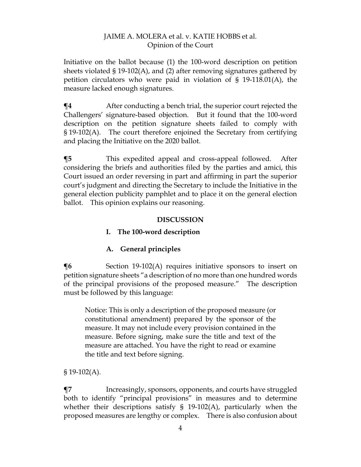Initiative on the ballot because (1) the 100-word description on petition sheets violated § 19-102(A), and (2) after removing signatures gathered by petition circulators who were paid in violation of § 19-118.01(A), the measure lacked enough signatures.

**¶4** After conducting a bench trial, the superior court rejected the Challengers' signature-based objection. But it found that the 100-word description on the petition signature sheets failed to comply with § 19-102(A). The court therefore enjoined the Secretary from certifying and placing the Initiative on the 2020 ballot.

**¶5** This expedited appeal and cross-appeal followed. After considering the briefs and authorities filed by the parties and amici, this Court issued an order reversing in part and affirming in part the superior court's judgment and directing the Secretary to include the Initiative in the general election publicity pamphlet and to place it on the general election ballot. This opinion explains our reasoning.

#### **DISCUSSION**

# **I. The 100-word description**

# **A. General principles**

 $\P6$  Section 19-102(A) requires initiative sponsors to insert on petition signature sheets "a description of no more than one hundred words of the principal provisions of the proposed measure." The description must be followed by this language:

Notice: This is only a description of the proposed measure (or constitutional amendment) prepared by the sponsor of the measure. It may not include every provision contained in the measure. Before signing, make sure the title and text of the measure are attached. You have the right to read or examine the title and text before signing.

 $$19-102(A).$ 

**¶7** Increasingly, sponsors, opponents, and courts have struggled both to identify "principal provisions" in measures and to determine whether their descriptions satisfy § 19-102(A), particularly when the proposed measures are lengthy or complex. There is also confusion about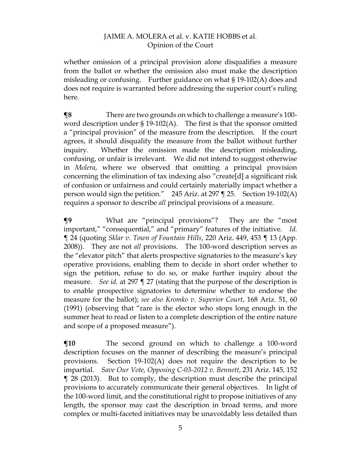whether omission of a principal provision alone disqualifies a measure from the ballot or whether the omission also must make the description misleading or confusing. Further guidance on what § 19-102(A) does and does not require is warranted before addressing the superior court's ruling here.

**¶8** There are two grounds on which to challenge a measure's 100 word description under § 19-102(A). The first is that the sponsor omitted a "principal provision" of the measure from the description. If the court agrees, it should disqualify the measure from the ballot without further inquiry. Whether the omission made the description misleading, confusing, or unfair is irrelevant. We did not intend to suggest otherwise in *Molera*, where we observed that omitting a principal provision concerning the elimination of tax indexing also "create[d] a significant risk of confusion or unfairness and could certainly materially impact whether a person would sign the petition." 245 Ariz. at 297 ¶ 25. Section 19-102(A) requires a sponsor to describe *all* principal provisions of a measure.

**¶9** What are "principal provisions"? They are the "most important," "consequential," and "primary" features of the initiative. *Id.* ¶ 24 (quoting *Sklar v. Town of Fountain Hills*, 220 Ariz. 449, 453 ¶ 13 (App. 2008)). They are not *all* provisions. The 100-word description serves as the "elevator pitch" that alerts prospective signatories to the measure's key operative provisions, enabling them to decide in short order whether to sign the petition, refuse to do so, or make further inquiry about the measure. *See id.* at 297 ¶ 27 (stating that the purpose of the description is to enable prospective signatories to determine whether to endorse the measure for the ballot); *see also Kromko v. Superior Court*, 168 Ariz. 51, 60 (1991) (observing that "rare is the elector who stops long enough in the summer heat to read or listen to a complete description of the entire nature and scope of a proposed measure").

**¶10** The second ground on which to challenge a 100-word description focuses on the manner of describing the measure's principal provisions. Section 19-102(A) does not require the description to be impartial. *Save Our Vote, Opposing C-03-2012 v. Bennett*, 231 Ariz. 145, 152 ¶ 28 (2013).But to comply, the description must describe the principal provisions to accurately communicate their general objectives. In light of the 100-word limit, and the constitutional right to propose initiatives of any length, the sponsor may cast the description in broad terms, and more complex or multi-faceted initiatives may be unavoidably less detailed than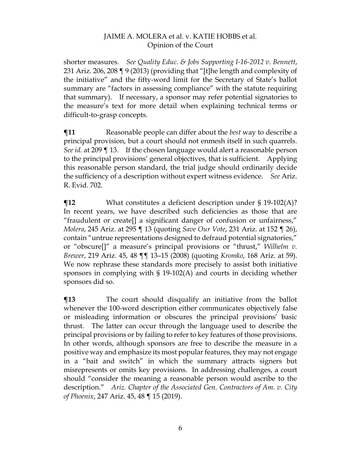shorter measures. *See Quality Educ. & Jobs Supporting I-16-2012 v. Bennett*, 231 Ariz. 206, 208 ¶ 9 (2013) (providing that "[t]he length and complexity of the initiative" and the fifty-word limit for the Secretary of State's ballot summary are "factors in assessing compliance" with the statute requiring that summary). If necessary, a sponsor may refer potential signatories to the measure's text for more detail when explaining technical terms or difficult-to-grasp concepts.

**¶11** Reasonable people can differ about the *best* way to describe a principal provision, but a court should not enmesh itself in such quarrels. *See id.* at 209 ¶ 13. If the chosen language would alert a reasonable person to the principal provisions' general objectives, that is sufficient. Applying this reasonable person standard, the trial judge should ordinarily decide the sufficiency of a description without expert witness evidence. *See* Ariz. R. Evid. 702.

**¶12** What constitutes a deficient description under § 19-102(A)? In recent years, we have described such deficiencies as those that are "fraudulent or create[] a significant danger of confusion or unfairness," *Molera*, 245 Ariz. at 295 ¶ 13 (quoting *Save Our Vote*, 231 Ariz. at 152 ¶ 26), contain "untrue representations designed to defraud potential signatories," or "obscure[]" a measure's principal provisions or "thrust," *Wilhelm v. Brewer*, 219 Ariz. 45, 48 ¶¶ 13–15 (2008) (quoting *Kromko*, 168 Ariz. at 59). We now rephrase these standards more precisely to assist both initiative sponsors in complying with § 19-102(A) and courts in deciding whether sponsors did so.

**¶13** The court should disqualify an initiative from the ballot whenever the 100-word description either communicates objectively false or misleading information or obscures the principal provisions' basic thrust. The latter can occur through the language used to describe the principal provisions or by failing to refer to key features of those provisions. In other words, although sponsors are free to describe the measure in a positive way and emphasize its most popular features, they may not engage in a "bait and switch" in which the summary attracts signers but misrepresents or omits key provisions. In addressing challenges, a court should "consider the meaning a reasonable person would ascribe to the description." *Ariz. Chapter of the Associated Gen. Contractors of Am. v. City of Phoenix*, 247 Ariz. 45, 48 ¶ 15 (2019).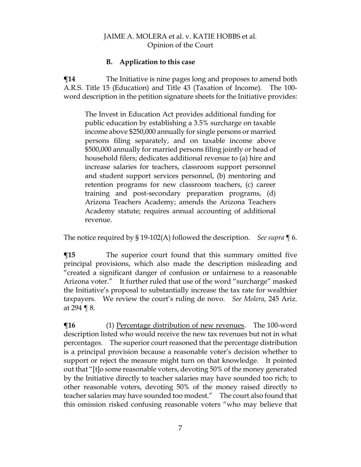#### **B. Application to this case**

 $\P$ **14** The Initiative is nine pages long and proposes to amend both A.R.S. Title 15 (Education) and Title 43 (Taxation of Income). The 100 word description in the petition signature sheets for the Initiative provides:

The Invest in Education Act provides additional funding for public education by establishing a 3.5% surcharge on taxable income above \$250,000 annually for single persons or married persons filing separately, and on taxable income above \$500,000 annually for married persons filing jointly or head of household filers; dedicates additional revenue to (a) hire and increase salaries for teachers, classroom support personnel and student support services personnel, (b) mentoring and retention programs for new classroom teachers, (c) career training and post-secondary preparation programs, (d) Arizona Teachers Academy; amends the Arizona Teachers Academy statute; requires annual accounting of additional revenue.

The notice required by § 19-102(A) followed the description. *See supra* ¶ 6.

**The superior court found that this summary omitted five** principal provisions, which also made the description misleading and "created a significant danger of confusion or unfairness to a reasonable Arizona voter." It further ruled that use of the word "surcharge" masked the Initiative's proposal to substantially increase the tax rate for wealthier taxpayers. We review the court's ruling de novo. *See Molera*, 245 Ariz. at 294 ¶ 8.

 $\P$ **16** (1) Percentage distribution of new revenues. The 100-word description listed who would receive the new tax revenues but not in what percentages. The superior court reasoned that the percentage distribution is a principal provision because a reasonable voter's decision whether to support or reject the measure might turn on that knowledge. It pointed out that "[t]o some reasonable voters, devoting 50% of the money generated by the Initiative directly to teacher salaries may have sounded too rich; to other reasonable voters, devoting 50% of the money raised directly to teacher salaries may have sounded too modest." The court also found that this omission risked confusing reasonable voters "who may believe that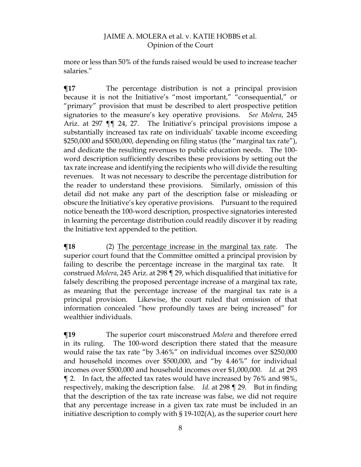more or less than 50% of the funds raised would be used to increase teacher salaries."

**¶17** The percentage distribution is not a principal provision because it is not the Initiative's "most important," "consequential," or "primary" provision that must be described to alert prospective petition signatories to the measure's key operative provisions. *See Molera*, 245 Ariz. at 297 ¶¶ 24, 27. The Initiative's principal provisions impose a substantially increased tax rate on individuals' taxable income exceeding \$250,000 and \$500,000, depending on filing status (the "marginal tax rate"), and dedicate the resulting revenues to public education needs. The 100 word description sufficiently describes these provisions by setting out the tax rate increase and identifying the recipients who will divide the resulting revenues. It was not necessary to describe the percentage distribution for the reader to understand these provisions. Similarly, omission of this detail did not make any part of the description false or misleading or obscure the Initiative's key operative provisions. Pursuant to the required notice beneath the 100-word description, prospective signatories interested in learning the percentage distribution could readily discover it by reading the Initiative text appended to the petition.

**¶18** (2) The percentage increase in the marginal tax rate. The superior court found that the Committee omitted a principal provision by failing to describe the percentage increase in the marginal tax rate. It construed *Molera*, 245 Ariz. at 298 ¶ 29, which disqualified that initiative for falsely describing the proposed percentage increase of a marginal tax rate, as meaning that the percentage increase of the marginal tax rate is a principal provision. Likewise, the court ruled that omission of that information concealed "how profoundly taxes are being increased" for wealthier individuals.

**¶19** The superior court misconstrued *Molera* and therefore erred in its ruling. The 100-word description there stated that the measure would raise the tax rate "by 3.46%" on individual incomes over \$250,000 and household incomes over \$500,000, and "by 4.46%" for individual incomes over \$500,000 and household incomes over \$1,000,000. *Id.* at 293 ¶ 2. In fact, the affected tax rates would have increased by 76% and 98%, respectively, making the description false. *Id*. at 298 ¶ 29. But in finding that the description of the tax rate increase was false, we did not require that any percentage increase in a given tax rate must be included in an initiative description to comply with § 19-102(A), as the superior court here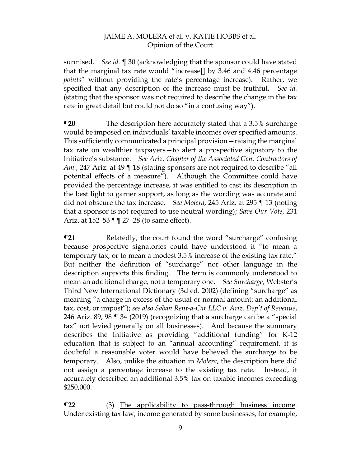surmised. *See id.* ¶ 30 (acknowledging that the sponsor could have stated that the marginal tax rate would "increase[] by 3.46 and 4.46 percentage *points*" without providing the rate's percentage increase). Rather, we specified that any description of the increase must be truthful. *See id.* (stating that the sponsor was not required to describe the change in the tax rate in great detail but could not do so "in a confusing way").

**¶20** The description here accurately stated that a 3.5% surcharge would be imposed on individuals' taxable incomes over specified amounts. This sufficiently communicated a principal provision—raising the marginal tax rate on wealthier taxpayers—to alert a prospective signatory to the Initiative's substance. *See Ariz. Chapter of the Associated Gen. Contractors of Am.*, 247 Ariz. at 49 ¶ 18 (stating sponsors are not required to describe "all potential effects of a measure"). Although the Committee could have provided the percentage increase, it was entitled to cast its description in the best light to garner support, as long as the wording was accurate and did not obscure the tax increase. *See Molera*, 245 Ariz. at 295 ¶ 13 (noting that a sponsor is not required to use neutral wording); *Save Our Vote*, 231 Ariz. at 152–53 ¶¶ 27–28 (to same effect).

**The Telated T** Relatedly, the court found the word "surcharge" confusing because prospective signatories could have understood it "to mean a temporary tax, or to mean a modest 3.5% increase of the existing tax rate." But neither the definition of "surcharge" nor other language in the description supports this finding. The term is commonly understood to mean an additional charge, not a temporary one. *See Surcharge*, Webster's Third New International Dictionary (3d ed. 2002) (defining "surcharge" as meaning "a charge in excess of the usual or normal amount: an additional tax, cost, or impost"); *see also Saban Rent-a-Car LLC v. Ariz. Dep't of Revenue*, 246 Ariz. 89, 98 ¶ 34 (2019) (recognizing that a surcharge can be a "special tax" not levied generally on all businesses). And because the summary describes the Initiative as providing "additional funding" for K-12 education that is subject to an "annual accounting" requirement, it is doubtful a reasonable voter would have believed the surcharge to be temporary. Also, unlike the situation in *Molera*, the description here did not assign a percentage increase to the existing tax rate. Instead, it accurately described an additional 3.5% tax on taxable incomes exceeding \$250,000.

 $\P$ **22** (3) The applicability to pass-through business income. Under existing tax law, income generated by some businesses, for example,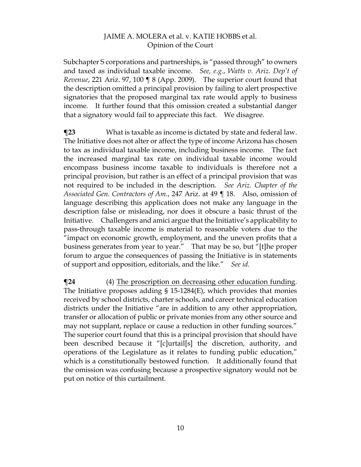Subchapter S corporations and partnerships, is "passed through" to owners and taxed as individual taxable income. *See, e.g.*, *Watts v. Ariz. Dep't of Revenue*, 221 Ariz. 97, 100 ¶ 8 (App. 2009). The superior court found that the description omitted a principal provision by failing to alert prospective signatories that the proposed marginal tax rate would apply to business income. It further found that this omission created a substantial danger that a signatory would fail to appreciate this fact. We disagree.

**¶23** What is taxable as income is dictated by state and federal law. The Initiative does not alter or affect the type of income Arizona has chosen to tax as individual taxable income, including business income. The fact the increased marginal tax rate on individual taxable income would encompass business income taxable to individuals is therefore not a principal provision, but rather is an effect of a principal provision that was not required to be included in the description. *See Ariz. Chapter of the Associated Gen. Contractors of Am.*, 247 Ariz. at 49 ¶ 18. Also, omission of language describing this application does not make any language in the description false or misleading, nor does it obscure a basic thrust of the Initiative. Challengers and amici argue that the Initiative's applicability to pass-through taxable income is material to reasonable voters due to the "impact on economic growth, employment, and the uneven profits that a business generates from year to year." That may be so, but "[t]he proper forum to argue the consequences of passing the Initiative is in statements of support and opposition, editorials, and the like." *See id.*

 $\P$ **24** (4) The proscription on decreasing other education funding. The Initiative proposes adding § 15-1284(E), which provides that monies received by school districts, charter schools, and career technical education districts under the Initiative "are in addition to any other appropriation, transfer or allocation of public or private monies from any other source and may not supplant, replace or cause a reduction in other funding sources." The superior court found that this is a principal provision that should have been described because it "[c]urtail[s] the discretion, authority, and operations of the Legislature as it relates to funding public education," which is a constitutionally bestowed function. It additionally found that the omission was confusing because a prospective signatory would not be put on notice of this curtailment.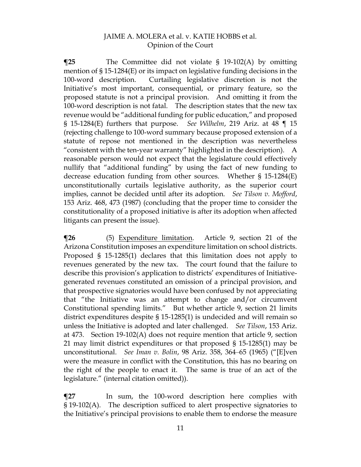**¶25** The Committee did not violate § 19-102(A) by omitting mention of § 15-1284(E) or its impact on legislative funding decisions in the 100-word description. Curtailing legislative discretion is not the Initiative's most important, consequential, or primary feature, so the proposed statute is not a principal provision. And omitting it from the 100-word description is not fatal. The description states that the new tax revenue would be "additional funding for public education," and proposed § 15-1284(E) furthers that purpose. *See Wilhelm*, 219 Ariz. at 48 ¶ 15 (rejecting challenge to 100-word summary because proposed extension of a statute of repose not mentioned in the description was nevertheless "consistent with the ten-year warranty" highlighted in the description). A reasonable person would not expect that the legislature could effectively nullify that "additional funding" by using the fact of new funding to decrease education funding from other sources. Whether § 15-1284(E) unconstitutionally curtails legislative authority, as the superior court implies, cannot be decided until after its adoption. *See Tilson v. Mofford*, 153 Ariz. 468, 473 (1987) (concluding that the proper time to consider the constitutionality of a proposed initiative is after its adoption when affected litigants can present the issue).

**¶26** (5) Expenditure limitation. Article 9, section 21 of the Arizona Constitution imposes an expenditure limitation on school districts. Proposed § 15-1285(1) declares that this limitation does not apply to revenues generated by the new tax. The court found that the failure to describe this provision's application to districts' expenditures of Initiativegenerated revenues constituted an omission of a principal provision, and that prospective signatories would have been confused by not appreciating that "the Initiative was an attempt to change and/or circumvent Constitutional spending limits." But whether article 9, section 21 limits district expenditures despite § 15-1285(1) is undecided and will remain so unless the Initiative is adopted and later challenged. *See Tilson*, 153 Ariz. at 473. Section 19-102(A) does not require mention that article 9, section 21 may limit district expenditures or that proposed § 15-1285(1) may be unconstitutional. *See Iman v. Bolin*, 98 Ariz. 358, 364–65 (1965) ("[E]ven were the measure in conflict with the Constitution, this has no bearing on the right of the people to enact it. The same is true of an act of the legislature." (internal citation omitted)).

**¶27** In sum, the 100-word description here complies with § 19-102(A). The description sufficed to alert prospective signatories to the Initiative's principal provisions to enable them to endorse the measure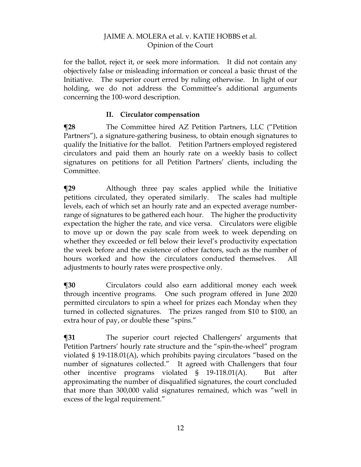for the ballot, reject it, or seek more information. It did not contain any objectively false or misleading information or conceal a basic thrust of the Initiative. The superior court erred by ruling otherwise. In light of our holding, we do not address the Committee's additional arguments concerning the 100-word description.

# **II. Circulator compensation**

**¶28** The Committee hired AZ Petition Partners, LLC ("Petition Partners"), a signature-gathering business, to obtain enough signatures to qualify the Initiative for the ballot. Petition Partners employed registered circulators and paid them an hourly rate on a weekly basis to collect signatures on petitions for all Petition Partners' clients, including the Committee.

**¶29** Although three pay scales applied while the Initiative petitions circulated, they operated similarly. The scales had multiple levels, each of which set an hourly rate and an expected average numberrange of signatures to be gathered each hour. The higher the productivity expectation the higher the rate, and vice versa. Circulators were eligible to move up or down the pay scale from week to week depending on whether they exceeded or fell below their level's productivity expectation the week before and the existence of other factors, such as the number of hours worked and how the circulators conducted themselves. All adjustments to hourly rates were prospective only.

**¶30** Circulators could also earn additional money each week through incentive programs. One such program offered in June 2020 permitted circulators to spin a wheel for prizes each Monday when they turned in collected signatures. The prizes ranged from \$10 to \$100, an extra hour of pay, or double these "spins."

**¶31** The superior court rejected Challengers' arguments that Petition Partners' hourly rate structure and the "spin-the-wheel" program violated § 19-118.01(A), which prohibits paying circulators "based on the number of signatures collected." It agreed with Challengers that four other incentive programs violated § 19-118.01(A). But after approximating the number of disqualified signatures, the court concluded that more than 300,000 valid signatures remained, which was "well in excess of the legal requirement."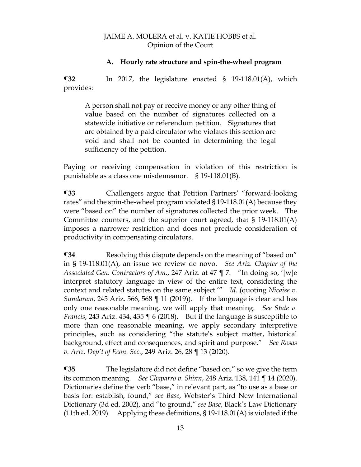#### **A. Hourly rate structure and spin-the-wheel program**

**¶32** In 2017, the legislature enacted § 19-118.01(A), which provides:

A person shall not pay or receive money or any other thing of value based on the number of signatures collected on a statewide initiative or referendum petition. Signatures that are obtained by a paid circulator who violates this section are void and shall not be counted in determining the legal sufficiency of the petition.

Paying or receiving compensation in violation of this restriction is punishable as a class one misdemeanor. § 19-118.01(B).

**¶33** Challengers argue that Petition Partners' "forward-looking rates" and the spin-the-wheel program violated § 19-118.01(A) because they were "based on" the number of signatures collected the prior week. The Committee counters, and the superior court agreed, that § 19-118.01(A) imposes a narrower restriction and does not preclude consideration of productivity in compensating circulators.

**The Term** Resolving this dispute depends on the meaning of "based on" in § 19-118.01(A), an issue we review de novo. *See Ariz. Chapter of the Associated Gen. Contractors of Am.*, 247 Ariz. at 47 ¶ 7. "In doing so, '[w]e interpret statutory language in view of the entire text, considering the context and related statutes on the same subject.'" *Id.* (quoting *Nicaise v. Sundaram*, 245 Ariz. 566, 568 ¶ 11 (2019)). If the language is clear and has only one reasonable meaning, we will apply that meaning. *See State v. Francis*, 243 Ariz. 434, 435 ¶ 6 (2018). But if the language is susceptible to more than one reasonable meaning, we apply secondary interpretive principles, such as considering "the statute's subject matter, historical background, effect and consequences, and spirit and purpose." *See Rosas v. Ariz. Dep't of Econ. Sec.*, 249 Ariz. 26, 28 ¶ 13 (2020).

**¶35** The legislature did not define "based on," so we give the term its common meaning. *See Chaparro v. Shinn*, 248 Ariz. 138, 141 ¶ 14 (2020). Dictionaries define the verb "base," in relevant part, as "to use as a base or basis for: establish, found," *see Base*, Webster's Third New International Dictionary (3d ed. 2002), and "to ground," *see Base*, Black's Law Dictionary (11th ed. 2019). Applying these definitions,  $\S 19-118.01(A)$  is violated if the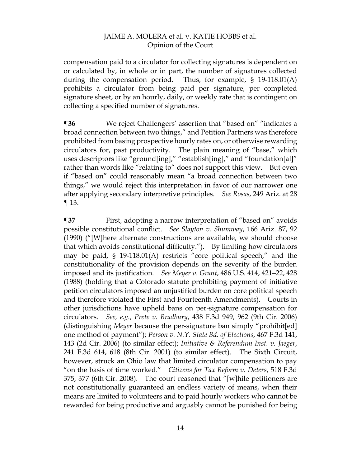compensation paid to a circulator for collecting signatures is dependent on or calculated by, in whole or in part, the number of signatures collected during the compensation period. Thus, for example, § 19-118.01(A) prohibits a circulator from being paid per signature, per completed signature sheet, or by an hourly, daily, or weekly rate that is contingent on collecting a specified number of signatures.

**¶36** We reject Challengers' assertion that "based on" "indicates a broad connection between two things," and Petition Partners was therefore prohibited from basing prospective hourly rates on, or otherwise rewarding circulators for, past productivity. The plain meaning of "base," which uses descriptors like "ground[ing]," "establish[ing]," and "foundation[al]" rather than words like "relating to" does not support this view. But even if "based on" could reasonably mean "a broad connection between two things," we would reject this interpretation in favor of our narrower one after applying secondary interpretive principles. *See Rosas*, 249 Ariz. at 28  $\P$  13.

**¶37** First, adopting a narrow interpretation of "based on" avoids possible constitutional conflict. *See Slayton v. Shumway*, 166 Ariz. 87, 92 (1990) ("[W]here alternate constructions are available, we should choose that which avoids constitutional difficulty."). By limiting how circulators may be paid, § 19-118.01(A) restricts "core political speech," and the constitutionality of the provision depends on the severity of the burden imposed and its justification. *See Meyer v. Grant*, 486 U.S. 414, 421–22, 428 (1988) (holding that a Colorado statute prohibiting payment of initiative petition circulators imposed an unjustified burden on core political speech and therefore violated the First and Fourteenth Amendments). Courts in other jurisdictions have upheld bans on per-signature compensation for circulators. *See, e.g.*, *Prete v. Bradbury*, 438 F.3d 949, 962 (9th Cir. 2006) (distinguishing *Meyer* because the per-signature ban simply "prohibit[ed] one method of payment"); *Person v. N.Y. State Bd. of Elections*, 467 F.3d 141, 143 (2d Cir. 2006) (to similar effect); *Initiative & Referendum Inst. v. Jaeger*, 241 F.3d 614, 618 (8th Cir. 2001) (to similar effect). The Sixth Circuit, however, struck an Ohio law that limited circulator compensation to pay "on the basis of time worked." *Citizens for Tax Reform v. Deters*, 518 F.3d 375, 377 (6th Cir. 2008). The court reasoned that "[w]hile petitioners are not constitutionally guaranteed an endless variety of means, when their means are limited to volunteers and to paid hourly workers who cannot be rewarded for being productive and arguably cannot be punished for being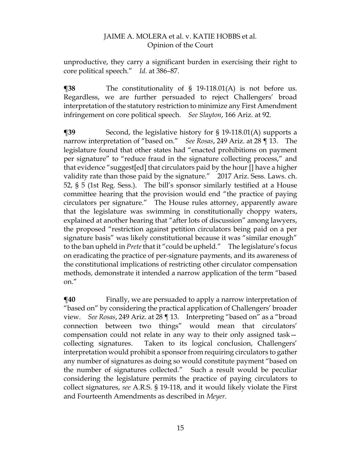unproductive, they carry a significant burden in exercising their right to core political speech." *Id.* at 386–87.

**¶38** The constitutionality of § 19-118.01(A) is not before us. Regardless, we are further persuaded to reject Challengers' broad interpretation of the statutory restriction to minimize any First Amendment infringement on core political speech. *See Slayton*, 166 Ariz. at 92.

**¶39** Second, the legislative history for § 19-118.01(A) supports a narrow interpretation of "based on." *See Rosas*, 249 Ariz. at 28 ¶ 13. The legislature found that other states had "enacted prohibitions on payment per signature" to "reduce fraud in the signature collecting process," and that evidence "suggest[ed] that circulators paid by the hour [] have a higher validity rate than those paid by the signature." 2017 Ariz. Sess. Laws. ch. 52, § 5 (1st Reg. Sess.). The bill's sponsor similarly testified at a House committee hearing that the provision would end "the practice of paying circulators per signature." The House rules attorney, apparently aware that the legislature was swimming in constitutionally choppy waters, explained at another hearing that "after lots of discussion" among lawyers, the proposed "restriction against petition circulators being paid on a per signature basis" was likely constitutional because it was "similar enough" to the ban upheld in *Prete*that it "could be upheld." The legislature's focus on eradicating the practice of per-signature payments, and its awareness of the constitutional implications of restricting other circulator compensation methods, demonstrate it intended a narrow application of the term "based on."

 $\P$ **40** Finally, we are persuaded to apply a narrow interpretation of "based on" by considering the practical application of Challengers' broader view. *See Rosas*, 249 Ariz. at 28 ¶ 13. Interpreting "based on" as a "broad connection between two things" would mean that circulators' compensation could not relate in any way to their only assigned task collecting signatures. Taken to its logical conclusion, Challengers' interpretation would prohibit a sponsor from requiring circulators to gather any number of signatures as doing so would constitute payment "based on the number of signatures collected." Such a result would be peculiar considering the legislature permits the practice of paying circulators to collect signatures, *see* A.R.S. § 19-118, and it would likely violate the First and Fourteenth Amendments as described in *Meyer*.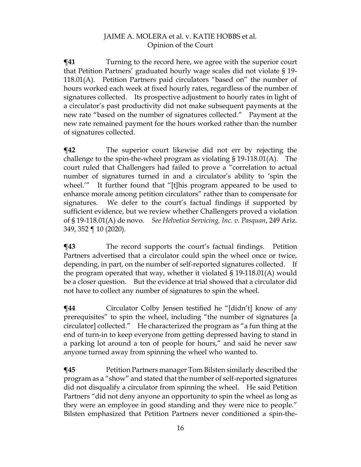**¶41** Turning to the record here, we agree with the superior court that Petition Partners' graduated hourly wage scales did not violate § 19- 118.01(A). Petition Partners paid circulators "based on" the number of hours worked each week at fixed hourly rates, regardless of the number of signatures collected. Its prospective adjustment to hourly rates in light of a circulator's past productivity did not make subsequent payments at the new rate "based on the number of signatures collected." Payment at the new rate remained payment for the hours worked rather than the number of signatures collected.

**¶42** The superior court likewise did not err by rejecting the challenge to the spin-the-wheel program as violating § 19-118.01(A). The court ruled that Challengers had failed to prove a "correlation to actual number of signatures turned in and a circulator's ability to 'spin the wheel.'" It further found that "[t]his program appeared to be used to enhance morale among petition circulators" rather than to compensate for signatures. We defer to the court's factual findings if supported by sufficient evidence, but we review whether Challengers proved a violation of § 19-118.01(A) de novo. *See Helvetica Servicing, Inc. v. Pasquan*, 249 Ariz. 349, 352 ¶ 10 (2020).

**¶43** The record supports the court's factual findings. Petition Partners advertised that a circulator could spin the wheel once or twice, depending, in part, on the number of self-reported signatures collected. If the program operated that way, whether it violated § 19-118.01(A) would be a closer question. But the evidence at trial showed that a circulator did not have to collect any number of signatures to spin the wheel.

**¶44** Circulator Colby Jensen testified he "[didn't] know of any prerequisites" to spin the wheel, including "the number of signatures [a circulator] collected." He characterized the program as "a fun thing at the end of turn-in to keep everyone from getting depressed having to stand in a parking lot around a ton of people for hours," and said he never saw anyone turned away from spinning the wheel who wanted to.

**¶45** Petition Partners manager Tom Bilsten similarly described the program as a "show" and stated that the number of self-reported signatures did not disqualify a circulator from spinning the wheel. He said Petition Partners "did not deny anyone an opportunity to spin the wheel as long as they were an employee in good standing and they were nice to people." Bilsten emphasized that Petition Partners never conditioned a spin-the-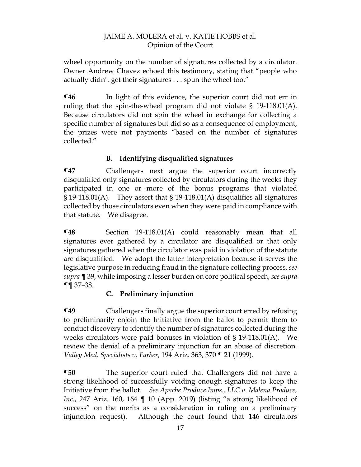wheel opportunity on the number of signatures collected by a circulator. Owner Andrew Chavez echoed this testimony, stating that "people who actually didn't get their signatures . . . spun the wheel too."

 $\P$ **46** In light of this evidence, the superior court did not err in ruling that the spin-the-wheel program did not violate § 19-118.01(A). Because circulators did not spin the wheel in exchange for collecting a specific number of signatures but did so as a consequence of employment, the prizes were not payments "based on the number of signatures collected."

# **B. Identifying disqualified signatures**

**¶47** Challengers next argue the superior court incorrectly disqualified only signatures collected by circulators during the weeks they participated in one or more of the bonus programs that violated  $\S 19-118.01(A)$ . They assert that  $\S 19-118.01(A)$  disqualifies all signatures collected by those circulators even when they were paid in compliance with that statute. We disagree.

**¶48** Section 19-118.01(A) could reasonably mean that all signatures ever gathered by a circulator are disqualified or that only signatures gathered when the circulator was paid in violation of the statute are disqualified. We adopt the latter interpretation because it serves the legislative purpose in reducing fraud in the signature collecting process, *see supra* ¶ 39, while imposing a lesser burden on core political speech, *see supra*  ¶¶ 37–38.

# **C. Preliminary injunction**

**¶49** Challengers finally argue the superior court erred by refusing to preliminarily enjoin the Initiative from the ballot to permit them to conduct discovery to identify the number of signatures collected during the weeks circulators were paid bonuses in violation of  $\S$  19-118.01(A). We review the denial of a preliminary injunction for an abuse of discretion. *Valley Med. Specialists v. Farber*, 194 Ariz. 363, 370 ¶ 21 (1999).

**¶50** The superior court ruled that Challengers did not have a strong likelihood of successfully voiding enough signatures to keep the Initiative from the ballot. *See Apache Produce Imps., LLC v. Malena Produce, Inc.*, 247 Ariz. 160, 164 ¶ 10 (App. 2019) (listing "a strong likelihood of success" on the merits as a consideration in ruling on a preliminary injunction request). Although the court found that 146 circulators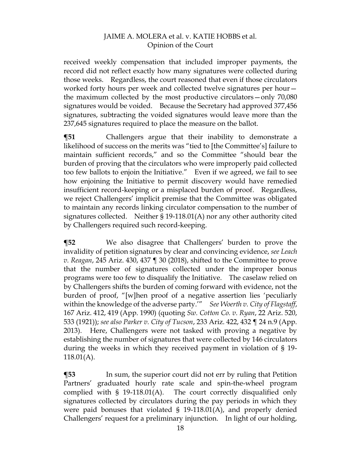received weekly compensation that included improper payments, the record did not reflect exactly how many signatures were collected during those weeks. Regardless, the court reasoned that even if those circulators worked forty hours per week and collected twelve signatures per hour the maximum collected by the most productive circulators—only 70,080 signatures would be voided. Because the Secretary had approved 377,456 signatures, subtracting the voided signatures would leave more than the 237,645 signatures required to place the measure on the ballot.

**¶51** Challengers argue that their inability to demonstrate a likelihood of success on the merits was "tied to [the Committee's] failure to maintain sufficient records," and so the Committee "should bear the burden of proving that the circulators who were improperly paid collected too few ballots to enjoin the Initiative." Even if we agreed, we fail to see how enjoining the Initiative to permit discovery would have remedied insufficient record-keeping or a misplaced burden of proof. Regardless, we reject Challengers' implicit premise that the Committee was obligated to maintain any records linking circulator compensation to the number of signatures collected. Neither § 19-118.01(A) nor any other authority cited by Challengers required such record-keeping.

**¶52** We also disagree that Challengers' burden to prove the invalidity of petition signatures by clear and convincing evidence, *see Leach v. Reagan*, 245 Ariz. 430, 437 ¶ 30 (2018), shifted to the Committee to prove that the number of signatures collected under the improper bonus programs were too few to disqualify the Initiative. The caselaw relied on by Challengers shifts the burden of coming forward with evidence, not the burden of proof, "[w]hen proof of a negative assertion lies 'peculiarly within the knowledge of the adverse party.'" *See Woerth v. City of Flagstaff*, 167 Ariz. 412, 419 (App. 1990) (quoting *Sw. Cotton Co. v. Ryan*, 22 Ariz. 520, 533 (1921)); *see also Parker v. City of Tucson*, 233 Ariz. 422, 432 ¶ 24 n.9 (App. 2013). Here, Challengers were not tasked with proving a negative by establishing the number of signatures that were collected by 146 circulators during the weeks in which they received payment in violation of § 19- 118.01(A).

**¶53** In sum, the superior court did not err by ruling that Petition Partners' graduated hourly rate scale and spin-the-wheel program complied with § 19-118.01(A). The court correctly disqualified only signatures collected by circulators during the pay periods in which they were paid bonuses that violated § 19-118.01(A), and properly denied Challengers' request for a preliminary injunction. In light of our holding,